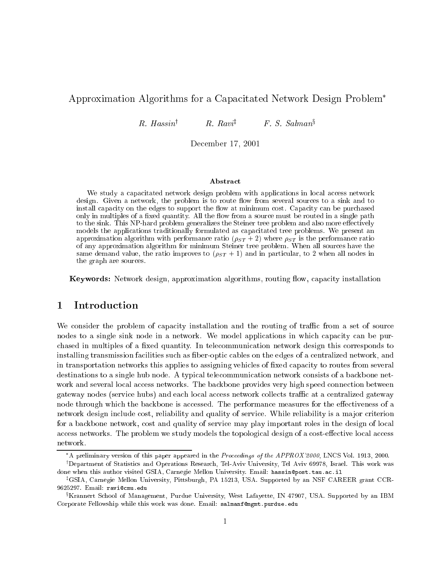# Approximation Algorithms for a Capacitated Network Design Problem<sup>\*</sup>

 $R.$  Hassin<sup>†</sup>  $R. Rav\ddot{\imath}$  $F. S. Salman<sup>§</sup>$ 

De
ember 17, <sup>2001</sup>

#### Abstra
t

We study a capacitated network design problem with applications in local access network design. Given a network, the problem is to route flow from several sources to a sink and to install capacity on the edges to support the flow at minimum cost. Capacity can be purchased only in multiples of a fixed quantity. All the flow from a source must be routed in a single path to the sink. This NP-hard problem generalizes the Steiner tree problem and also more effectively models the applications traditionally formulated as capacitated tree problems. We present an approximation algorithm with performance ratio  $(\rho_{ST} + 2)$  where  $\rho_{ST}$  is the performance ratio of any approximation algorithm for minimum Steiner tree problem. When all sour
es have the same demand value, the ratio improves to  $(\rho_{ST} + 1)$  and in particular, to 2 when all nodes in the graph are sour
es.

**Keywords:** Network design, approximation algorithms, routing flow, capacity installation

### 1 Introduction

We consider the problem of capacity installation and the routing of traffic from a set of source nodes to a single sink node in a network. We model applications in which capacity can be purchased in multiples of a fixed quantity. In telecommunication network design this corresponds to installing transmission facilities such as fiber-optic cables on the edges of a centralized network, and in transportation networks this applies to assigning vehicles of fixed capacity to routes from several destinations to a single hub node. A typical telecommunication network consists of a backbone network and several local access networks. The backbone provides very high speed connection between gateway nodes (service hubs) and each local access network collects traffic at a centralized gateway node through which the backbone is accessed. The performance measures for the effectiveness of a network design include cost, reliability and quality of service. While reliability is a major criterion for a backbone network, cost and quality of service may play important roles in the design of local access networks. The problem we study models the topological design of a cost-effective local access network.

<sup>&</sup>lt;sup>\*</sup>A preliminary version of this paper appeared in the *Proceedings of the APPROX'2000*, LNCS Vol. 1913, 2000.

Department of Statistics and Operations Research, Tel-Aviv University, Tel Aviv 69978, Israel. This work was " done when this author visited GSIA, Carnegie Mellon University. Email: hassin@post.tau.ac.il

<sup>z</sup> GSIA, Carnegie Mellon University, Pittsburgh, PA 15213, USA. Supported by an NSF CAREER grant CCR-9625297. Email: ravi@cmu.edu

<sup>x</sup> Krannert S
hool of Management, Purdue University, West Lafayette, IN 47907, USA. Supported by an IBM Corporate Fellowship while this work was done. Email: salmanf@mgmt.purdue.edu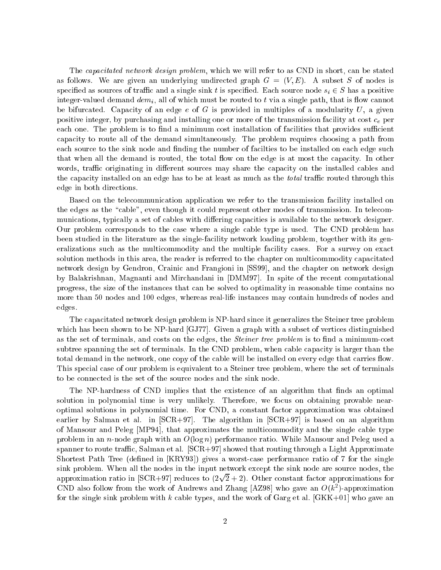The *capacitated network design problem*, which we will refer to as CND in short, can be stated as follows. We are given an underlying undirected graph  $G = (V, E)$ . A subset S of nodes is specified as sources of traffic and a single sink t is specified. Each source node  $s_i \in S$  has a positive integer-valued demand  $dem_i$ , all of which must be routed to t via a single path, that is flow cannot be bifurcated. Capacity of an edge  $e$  of G is provided in multiples of a modularity U, a given positive integer, by purchasing and installing one or more of the transmission facility at cost  $c_e$  per each one. The problem is to find a minimum cost installation of facilities that provides sufficient apa
ity to route all of the demand simultaneously. The problem requires hoosing a path from each source to the sink node and finding the number of facilities to be installed on each edge such that when all the demand is routed, the total flow on the edge is at most the capacity. In other words, traffic originating in different sources may share the capacity on the installed cables and the capacity installed on an edge has to be at least as much as the *total* traffic routed through this edge in both dire
tions.

Based on the telecommunication application we refer to the transmission facility installed on the edges as the "cable", even though it could represent other modes of transmission. In telecommunications, typically a set of cables with differing capacities is available to the network designer. Our problem orresponds to the ase where a single able type is used. The CND problem has been studied in the literature as the single-facility network loading problem, together with its generalizations such as the multicommodity and the multiple facility cases. For a survey on exact solution methods in this area, the reader is referred to the chapter on multicommodity capacitated network design by Gendron, Crainic and Frangioni in [SS99], and the chapter on network design by Balakrishnan, Magnanti and Mirchandani in [DMM97]. In spite of the recent computational progress, the size of the instan
es that an be solved to optimality in reasonable time ontains no more than 50 nodes and 100 edges, whereas real-life instan
es may ontain hundreds of nodes and edges.

The capacitated network design problem is NP-hard since it generalizes the Steiner tree problem which has been shown to be NP-hard  $[GJ77]$ . Given a graph with a subset of vertices distinguished as the set of terminals, and costs on the edges, the *Steiner tree problem* is to find a minimum-cost subtree spanning the set of terminals. In the CND problem, when cable capacity is larger than the total demand in the network, one copy of the cable will be installed on every edge that carries flow. This special case of our problem is equivalent to a Steiner tree problem, where the set of terminals to be onne
ted is the set of the sour
e nodes and the sink node.

The NP-hardness of CND implies that the existence of an algorithm that finds an optimal solution in polynomial time is very unlikely. Therefore, we focus on obtaining provable nearoptimal solutions in polynomial time. For CND, a onstant fa
tor approximation was obtained earlier by Salman et al. in  $[SCR+97]$ . The algorithm in  $[SCR+97]$  is based on an algorithm of Mansour and Peleg [MP94], that approximates the multicommodity and the single cable type problem in an *n*-node graph with an  $O(\log n)$  performance ratio. While Mansour and Peleg used a spanner to route traffic, Salman et al.  $[SCR+97]$  showed that routing through a Light Approximate Shortest Path Tree (defined in [KRY93]) gives a worst-case performance ratio of 7 for the single sink problem. When all the nodes in the input network except the sink node are source nodes, the approximation ratio in [SCR+97] reduces to  $(2\sqrt{2}+2)$ . Other constant factor approximations for CND also follow from the work of Andrews and Zhang  $[AZ98]$  who gave an  $O(k$ -)-approximation for the single sink problem with k cable types, and the work of Garg et al.  $[GKK+01]$  who gave an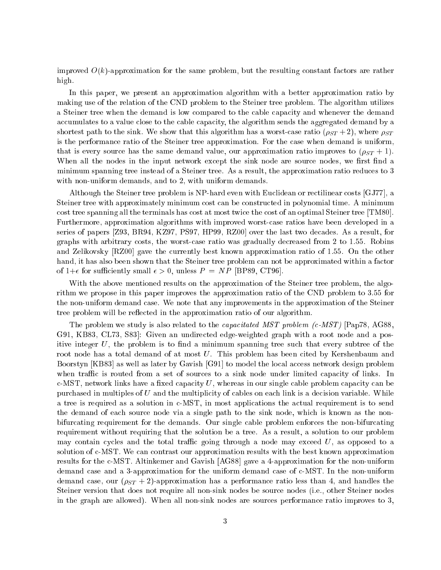improved  $O(k)$ -approximation for the same problem, but the resulting constant factors are rather high.

In this paper, we present an approximation algorithm with a better approximation ratio by making use of the relation of the CND problem to the Steiner tree problem. The algorithm utilizes a Steiner tree when the demand is low compared to the cable capacity and whenever the demand accumulates to a value close to the cable capacity, the algorithm sends the aggregated demand by a shortest path to the sink. We show that this algorithm has a worst-case ratio  $(\rho_{ST} + 2)$ , where  $\rho_{ST}$ is the performance ratio of the Steiner tree approximation. For the case when demand is uniform, that is every source has the same demand value, our approximation ratio improves to  $(\rho_{ST} + 1)$ . When all the nodes in the input network except the sink node are source nodes, we first find a minimum spanning tree instead of a Steiner tree. As a result, the approximation ratio reduces to 3 with non-uniform demands, and to 2, with uniform demands.

Although the Steiner tree problem is NP-hard even with Euclidean or rectilinear costs  $GJ77$ , a Steiner tree with approximately minimum cost can be constructed in polynomial time. A minimum  $\cot$  tree spanning all the terminals has cost at most twice the cost of an optimal Steiner tree [TM80]. Furthermore, approximation algorithms with improved worstase ratios have been developed in a series of papers  $[293, BR94, KZ97, PS97, HP99, RZ00]$  over the last two decades. As a result, for graphs with arbitrary osts, the worstase ratio was gradually de
reased from 2 to 1.55. Robins and Zelikovsky  $|RZ00|$  gave the currently best known approximation ratio of 1.55. On the other hand, it has also been shown that the Steiner tree problem can not be approximated within a factor of 1+ $\epsilon$  for sufficiently small  $\epsilon > 0$ , unless  $P = NP$  [BP89, CT96].

With the above mentioned results on the approximation of the Steiner tree problem, the algorithm we propose in this paper improves the approximation ratio of the CND problem to 3.55 for the non-uniform demand case. We note that any improvements in the approximation of the Steiner tree problem will be reflected in the approximation ratio of our algorithm.

The problem we study is also related to the *capacitated MST problem (c-MST)* [Pap78, AG88, G91, KB83, CL73, S83. Given an undirected edge-weighted graph with a root node and a positive integer  $U$ , the problem is to find a minimum spanning tree such that every subtree of the root node has a total demand of at most U. This problem has been cited by Kershenbaum and Boorstyn [KB83] as well as later by Gavish [G91] to model the local access network design problem when traffic is routed from a set of sources to a sink node under limited capacity of links. In  $c$ -MST, network links have a fixed capacity U, whereas in our single cable problem capacity can be purchased in multiples of  $U$  and the multiplicity of cables on each link is a decision variable. While a tree is required as a solution in c-MST, in most applications the actual requirement is to send the demand of each source node via a single path to the sink node, which is known as the nonbifurcating requirement for the demands. Our single cable problem enforces the non-bifurcating requirement without requiring that the solution be a tree. As a result, a solution to our problem may contain cycles and the total traffic going through a node may exceed  $U$ , as opposed to a solution of c-MST. We can contrast our approximation results with the best known approximation results for the c-MST. Altinkemer and Gavish [AG88] gave a 4-approximation for the non-uniform demand case and a 3-approximation for the uniform demand case of c-MST. In the non-uniform demand case, our  $(\rho_{ST} + 2)$ -approximation has a performance ratio less than 4, and handles the Steiner version that does not require all non-sink nodes be sour
e nodes (i.e., other Steiner nodes in the graph are allowed). When all non-sink nodes are sources performance ratio improves to 3,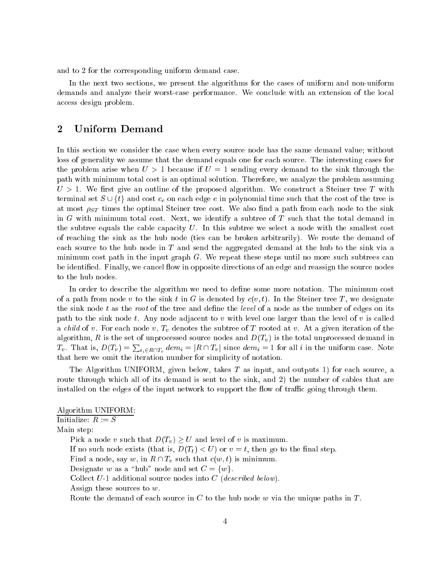and to 2 for the orresponding uniform demand ase.

In the next two sections, we present the algorithms for the cases of uniform and non-uniform demands and analyze their worst-case performance. We conclude with an extension of the local access design problem.

## <sup>2</sup> Uniform Demand

In this section we consider the case when every source node has the same demand value; without loss of generality we assume that the demand equals one for each source. The interesting cases for the problem arise when  $U > 1$  because if  $U = 1$  sending every demand to the sink through the path with minimum total ost is an optimal solution. Therefore, we analyze the problem assuming  $U > 1$ . We first give an outline of the proposed algorithm. We construct a Steiner tree T with terminal set  $S \cup \{t\}$  and cost  $c_e$  on each edge e in polynomial time such that the cost of the tree is at most  $\rho_{ST}$  times the optimal Steiner tree cost. We also find a path from each node to the sink in G with minimum total cost. Next, we identify a subtree of T such that the total demand in the subtree equals the cable capacity  $U$ . In this subtree we select a node with the smallest cost of rea
hing the sink as the hub node (ties an be broken arbitrarily). We route the demand of each source to the hub node in T and send the aggregated demand at the hub to the sink via a minimum cost path in the input graph  $G$ . We repeat these steps until no more such subtrees can be identified. Finally, we cancel flow in opposite directions of an edge and reassign the source nodes to the hub nodes.

In order to describe the algorithm we need to define some more notation. The minimum cost of a path from node v to the sink t in G is denoted by  $c(v, t)$ . In the Steiner tree T, we designate the sink node t as the root of the tree and define the level of a node as the number of edges on its path to the sink node t. Any node adjacent to v with level one larger than the level of v is called a *child* of v. For each node v,  $T_v$  denotes the subtree of T rooted at v. At a given iteration of the algorithm, R is the set of unprocessed source nodes and  $D(T_v)$  is the total unprocessed demand in  $T_v$ . That is,  $D(T_v) = \sum_{s_i \in R \cap T_v} dem_i = |R \cap T_v|$  since  $dem_i = 1$  for all i in the uniform case. Note that here we omit the iteration number for simplicity of notation.

The Algorithm UNIFORM, given below, takes T as input, and outputs 1) for each source, a route through which all of its demand is sent to the sink, and 2) the number of cables that are installed on the edges of the input network to support the flow of traffic going through them.

## Algorithm UNIFORM: Initialize:  $R := S$ Main step: Pick a node v such that  $D(T_v) \geq U$  and level of v is maximum. If no such node exists (that is,  $D(T_t) < U$ ) or  $v = t$ , then go to the final step. Find a node, say w, in  $R \cap T_v$  such that  $c(w, t)$  is minimum. Designate w as a "hub" node and set  $C = \{w\}.$ Collect U-1 additional source nodes into C (described below). Assign these sour
es to w. Route the demand of each source in  $C$  to the hub node  $w$  via the unique paths in  $T$ .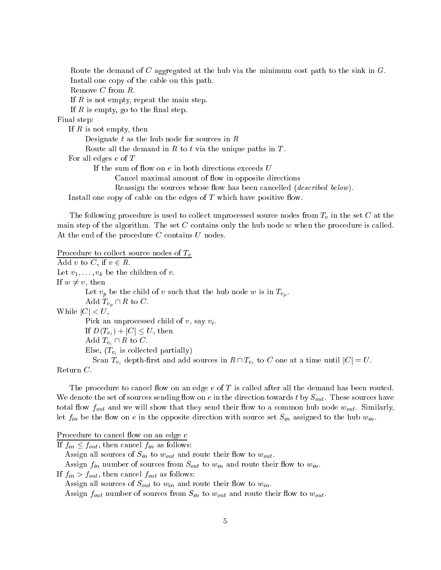Route the demand of C aggregated at the hub via the minimum cost path to the sink in  $G$ . Install one copy of the cable on this path. Remove <sup>C</sup> from R. If R is not empty, repeat the main step. If  $R$  is empty, go to the final step. Final step: If  $R$  is not empty, then Designate  $t$  as the hub node for sources in  $R$ Route all the demand in  $R$  to  $t$  via the unique paths in  $T$ . For all edges <sup>e</sup> of <sup>T</sup> If the sum of flow on  $e$  in both directions exceeds U Cancel maximal amount of flow in opposite directions Reassign the sources whose flow has been cancelled *(described below)*. Install one copy of cable on the edges of  $T$  which have positive flow.

The following procedure is used to collect unprocessed source nodes from  $T_v$  in the set C at the main step of the algorithm. The set  $C$  contains only the hub node  $w$  when the procedure is called. At the end of the procedure C contains U nodes.

Procedure to collect source nodes of  $T_v$ 

Add v to C, if  $v \in R$ . Let  $v_1, \ldots, v_k$  be the children of v. If  $w \neq v$ , then Let  $v_p$  be the child of v such that the hub node w is in  $T_{v_p}$ . Add  $T_{v_p} \cap R$  to C. While  $|C| < U$ , Pick an unprocessed child of  $v$ , say  $v_i$ . If  $D(T_{v_i}) + |C| \leq U$ , then Add  $T_{v_i} \cap R$  to C.  $\mathcal{L}$  is the partially of  $\mathcal{L}$  is the partially of  $\mathcal{L}$ Scan  $T_{v_i}$  depth-first and add sources in  $R \cap T_{v_i}$  to C one at a time until  $|C| = U$ .

Return C.

The procedure to cancel flow on an edge  $e$  of  $T$  is called after all the demand has been routed. We denote the set of sources sending flow on  $e$  in the direction towards  $t$  by  $S_{out}$ . These sources have total flow  $f_{out}$  and we will show that they send their flow to a common hub node  $w_{out}$ . Similarly, let  $f_{in}$  be the flow on e in the opposite direction with source set  $S_{in}$  assigned to the hub  $w_{in}$ .

Procedure to cancel flow on an edge  $\boldsymbol{e}$ 

If  $f_{in} \leq f_{out}$ , then cancel  $f_{in}$  as follows:

Assign all sources of  $S_{in}$  to  $w_{out}$  and route their flow to  $w_{out}$ .

Assign  $f_{in}$  number of sources from  $S_{out}$  to  $w_{in}$  and route their flow to  $w_{in}$ .

If  $f_{in} > f_{out}$ , then cancel  $f_{out}$  as follows:

Assign all sources of  $S_{out}$  to  $w_{in}$  and route their flow to  $w_{in}$ .

Assign  $f_{out}$  number of sources from  $S_{in}$  to  $w_{out}$  and route their flow to  $w_{out}$ .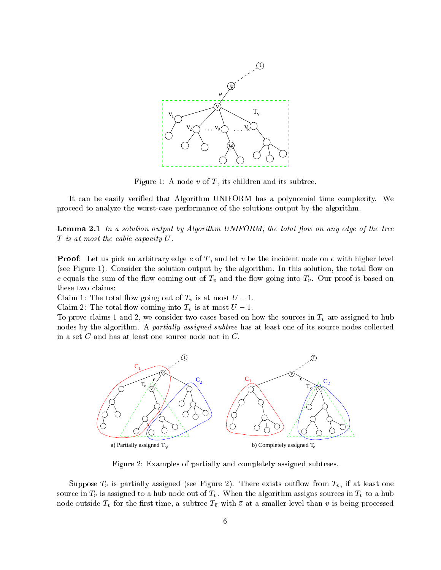

Figure 1: A node  $v$  of  $T$ , its children and its subtree.

It can be easily verified that Algorithm UNIFORM has a polynomial time complexity. We pro
eed to analyze the worstase performan
e of the solutions output by the algorithm.

**Lemma 2.1** In a solution output by Algorithm UNIFORM, the total flow on any edge of the tree  $T$  is at most the cable capacity  $U$ .

**Proof:** Let us pick an arbitrary edge  $e$  of  $T$ , and let  $v$  be the incident node on  $e$  with higher level (see Figure 1). Consider the solution output by the algorithm. In this solution, the total flow on e equals the sum of the flow coming out of  $T_v$  and the flow going into  $T_v$ . Our proof is based on these two laims:

Claim 1: The total flow going out of  $T_v$  is at most  $U - 1$ .

Claim 2: The total flow coming into  $T_v$  is at most  $U - 1$ .

To prove claims 1 and 2, we consider two cases based on how the sources in  $T_v$  are assigned to hub nodes by the algorithm. A partially assigned subtree has at least one of its source nodes collected in a set  $C$  and has at least one source node not in  $C$ .



Figure 2: Examples of partially and ompletely assigned subtrees.

Suppose  $T_v$  is partially assigned (see Figure 2). There exists outflow from  $T_v$ , if at least one source in  $T_v$  is assigned to a hub node out of  $T_v$ . When the algorithm assigns sources in  $T_v$  to a hub node outside  $T_v$  for the first time, a subtree  $T_{\bar{v}}$  with  $\bar{v}$  at a smaller level than v is being processed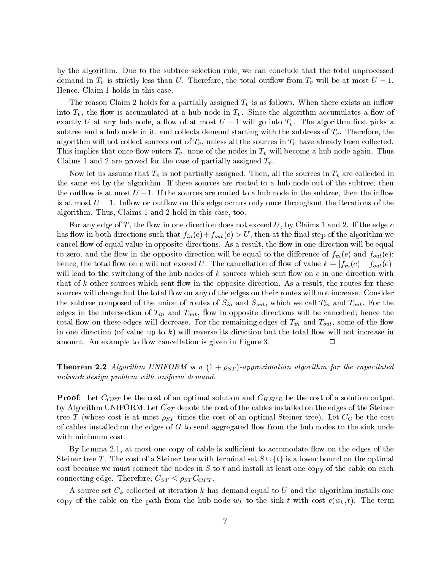by the algorithm. Due to the subtree selection rule, we can conclude that the total unprocessed demand in  $T_v$  is strictly less than U. Therefore, the total outflow from  $T_v$  will be at most  $U-1$ . Hen
e, Claim 1 holds in this ase.

The reason Claim 2 holds for a partially assigned  $T_v$  is as follows. When there exists an inflow into  $T_v$ , the flow is accumulated at a hub node in  $T_v$ . Since the algorithm accumulates a flow of exactly U at any hub node, a flow of at most  $U-1$  will go into  $T_v$ . The algorithm first picks a subtree and a hub node in it, and collects demand starting with the subtrees of  $T_v$ . Therefore, the algorithm will not collect sources out of  $T_v$ , unless all the sources in  $T_v$  have already been collected. This implies that once flow enters  $T_v$ , none of the nodes in  $T_v$  will become a hub node again. Thus Claims 1 and 2 are proved for the case of partially assigned  $T_v$ .

Now let us assume that  $T_v$  is not partially assigned. Then, all the sources in  $T_v$  are collected in the same set by the algorithm. If these sour
es are routed to a hub node out of the subtree, then the outflow is at most  $U-1$ . If the sources are routed to a hub node in the subtree, then the inflow is at most  $U-1$ . Inflow or outflow on this edge occurs only once throughout the iterations of the algorithm. Thus, Claims 1 and 2 hold in this ase, too.

For any edge of T, the flow in one direction does not exceed U, by Claims 1 and 2. If the edge  $e$ has flow in both directions such that  $f_{in}(e) + f_{out}(e) > U$ , then at the final step of the algorithm we cancel flow of equal value in opposite directions. As a result, the flow in one direction will be equal to zero, and the flow in the opposite direction will be equal to the difference of  $f_{in}(e)$  and  $f_{out}(e)$ ; hence, the total flow on e will not exceed U. The cancellation of flow of value  $k = |f_{in}(e) - f_{out}(e)|$ will lead to the switching of the hub nodes of  $k$  sources which sent flow on  $e$  in one direction with that of k other sources which sent flow in the opposite direction. As a result, the routes for these sources will change but the total flow on any of the edges on their routes will not increase. Consider the subtree composed of the union of routes of  $S_{in}$  and  $S_{out}$ , which we call  $T_{in}$  and  $T_{out}$ . For the edges in the intersection of  $T_{in}$  and  $T_{out}$ , flow in opposite directions will be cancelled; hence the total flow on these edges will decrease. For the remaining edges of  $T_{in}$  and  $T_{out}$ , some of the flow in one direction (of value up to k) will reverse its direction but the total flow will not increase in amount. An example to flow cancellation is given in Figure 3.  $\Box$ 

**Theorem 2.2** Algorithm UNIFORM is a  $(1 + \rho_{ST})$ -approximation algorithm for the capacitated network design problem with uniform demand.

**Proof:** Let  $C_{OPT}$  be the cost of an optimal solution and  $C_{HEUR}$  be the cost of a solution output by Algorithm UNIFORM. Let  $C_{ST}$  denote the cost of the cables installed on the edges of the Steiner tree T (whose cost is at most  $\rho_{ST}$  times the cost of an optimal Steiner tree). Let  $C_G$  be the cost of cables installed on the edges of  $G$  to send aggregated flow from the hub nodes to the sink node with minimum cost.

By Lemma 2.1, at most one copy of cable is sufficient to accomodate flow on the edges of the Steiner tree T. The cost of a Steiner tree with terminal set  $S \cup \{t\}$  is a lower bound on the optimal cost because we must connect the nodes in S to t and install at least one copy of the cable on each connecting edge. Therefore,  $C_{ST} \leq \rho_{ST} C_{OPT}$ .

A source set  $C_k$  collected at iteration k has demand equal to U and the algorithm installs one copy of the cable on the path from the hub node  $w_k$  to the sink t with cost  $c(w_k, t)$ . The term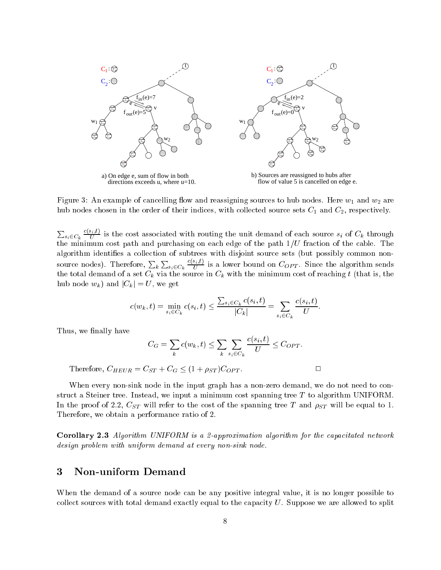

Figure 3: An example of cancelling flow and reassigning sources to hub nodes. Here  $w_1$  and  $w_2$  are hub nodes chosen in the order of their indices, with collected source sets  $C_1$  and  $C_2$ , respectively.

 $\overline{\phantom{a}}$  $\sim$   $\sim$  $\frac{1}{\sqrt{U}}$  is the cost associated with routing the unit demand of each source  $s_i$  of  $C_k$  through the minimum cost path and purchasing on each edge of the path  $1/U$  fraction of the cable. The source nodes). Therefore,  $\sum_{k} \sum_{s_i \in C_k} \frac{c(s_i, t)}{U}$  is a lower bound on  $C_{OPT}$ . Since the algorithm sends <sup>P</sup>  $\sim$   $\sim$  $\frac{C(\mathcal{L}_t, \mathcal{L}_t)}{U}$  is a lower bound on  $C_{OPT}.$  Since the algorithm sends  $\alpha$  set  $\alpha$  and demonstrated of  $\alpha$  via the source of  $\alpha$  with the minimum source of  $\alpha$  is an  $\alpha$  is, the minimum  $\alpha$ hub node  $w_k$ ) and  $|C_k| = U$ , we get

$$
c(w_k, t) = \min_{s_i \in C_k} c(s_i, t) \le \frac{\sum_{s_i \in C_k} c(s_i, t)}{|C_k|} = \sum_{s_i \in C_k} \frac{c(s_i, t)}{U}.
$$

Thus, we finally have

$$
C_G = \sum_{k} c(w_k, t) \leq \sum_{k} \sum_{s_i \in C_k} \frac{c(s_i, t)}{U} \leq C_{OPT}.
$$

Therefore,  $C_{HEUR} = C_{ST} + C_G < (1 + \rho_{ST})C_{OPT}$ .

When every non-sink node in the input graph has a non-zero demand, we do not need to construct a Steiner tree. Instead, we input a minimum cost spanning tree T to algorithm UNIFORM. In the proof of 2.2,  $C_{ST}$  will refer to the cost of the spanning tree T and  $\rho_{ST}$  will be equal to 1. Therefore, we obtain a performan
e ratio of 2.

**Corollary 2.3** Algorithm UNIFORM is a 2-approximation algorithm for the capacitated network design problem with uniform demand at every non-sink node.

#### <sup>3</sup> Non-uniform Demand 3

When the demand of a source node can be any positive integral value, it is no longer possible to  $\alpha$  collect sources with total demand exactly equal to the capacity U. Suppose we are allowed to split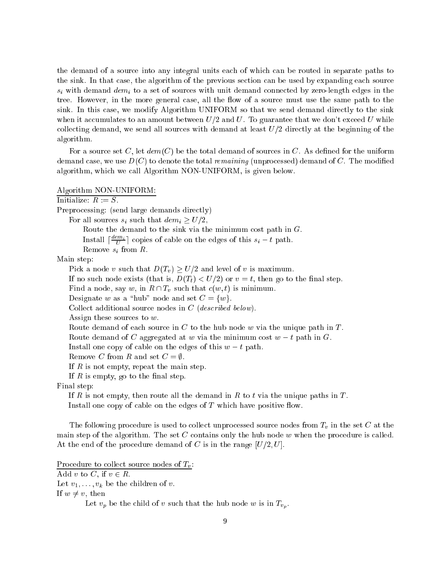the demand of a sour
e into any integral units ea
h of whi
h an be routed in separate paths to the sink. In that case, the algorithm of the previous section can be used by expanding each source  $s_i$  with demand  $dem_i$  to a set of sources with unit demand connected by zero-length edges in the tree. However, in the more general case, all the flow of a source must use the same path to the sink. In this case, we modify Algorithm UNIFORM so that we send demand directly to the sink when it accumulates to an amount between  $U/2$  and U. To guarantee that we don't exceed U while collecting demand, we send all sources with demand at least  $U/2$  directly at the beginning of the algorithm.

For a source set C, let  $dem(C)$  be the total demand of sources in C. As defined for the uniform demand case, we use  $D(C)$  to denote the total *remaining* (unprocessed) demand of C. The modified algorithm, whi
h we all Algorithm NON-UNIFORM, is given below.

#### Algorithm NON-UNIFORM:

Initialize:  $R := S$ .

Preprocessing: (send large demands directly) For all sources  $s_i$  such that  $dem_i \geq U/2$ , Route the demand to the sink via the minimum cost path in  $G$ . Install  $\lfloor \frac{m}{U} \rfloor$  copies of cable on the edges of this  $s_i-t$  path. Remove  $s_i$  from  $R$ . Main step: Pick a node v such that  $D(T_v) \ge U/2$  and level of v is maximum. If no such node exists (that is,  $D(T_t) < U/2$ ) or  $v = t$ , then go to the final step. Find a node, say w, in  $R \cap T_v$  such that  $c(w, t)$  is minimum. Designate w as a "hub" node and set  $C = \{w\}.$ Collect additional source nodes in C (described below). Assign these sources to  $w$ . Route demand of each source in  $C$  to the hub node  $w$  via the unique path in  $T$ . Route demand of C aggregated at w via the minimum cost  $w - t$  path in G. Install one copy of cable on the edges of this  $w - t$  path. Remove C from R and set  $C = \emptyset$ .

If R is not empty, repeat the main step.

If  $R$  is empty, go to the final step.

Final step:

If R is not empty, then route all the demand in R to t via the unique paths in T. Install one copy of cable on the edges of  $T$  which have positive flow.

The following procedure is used to collect unprocessed source nodes from  $T_v$  in the set C at the main step of the algorithm. The set  $C$  contains only the hub node  $w$  when the procedure is called. At the end of the procedure demand of C is in the range  $[U/2, U]$ .

Procedure to collect source nodes of  $T_v$ :

Add v to C, if  $v \in R$ .

Let  $v_1, \ldots, v_k$  be the children of v.

If  $w \neq v$ , then

Let  $v_p$  be the child of v such that the hub node w is in  $T_{v_p}$ .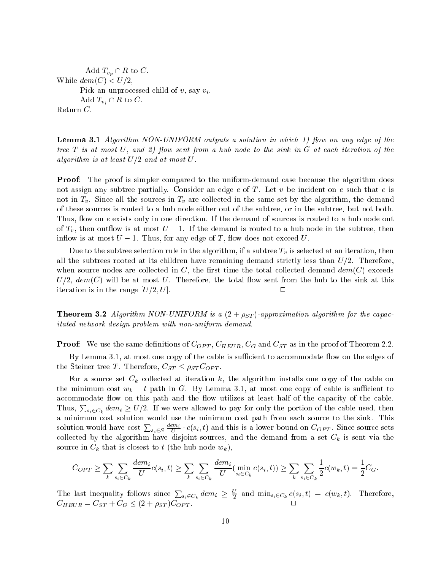Add  $T_{v_p} \cap R$  to C. While  $dem(C) < U/2$ . Pick an unprocessed child of  $v$ , say  $v_i$ . Add  $T_{v_i} \cap R$  to C. Return C.

**Lemma 3.1** Algorithm NON-UNIFORM outputs a solution in which 1) flow on any edge of the tree  $T$  is at most  $U$ , and  $\mathcal{Q}$ ) flow sent from a hub node to the sink in  $G$  at each iteration of the algorithm is at least  $U/2$  and at most U.

**Proof:** The proof is simpler compared to the uniform-demand case because the algorithm does not assign any subtree partially. Consider an edge  $e$  of  $T$ . Let  $v$  be incident on  $e$  such that  $e$  is not in  $T_v$ . Since all the sources in  $T_v$  are collected in the same set by the algorithm, the demand of these sour
es is routed to a hub node either out of the subtree, or in the subtree, but not both. Thus, flow on e exists only in one direction. If the demand of sources is routed to a hub node out of  $T_v$ , then outflow is at most  $U-1$ . If the demand is routed to a hub node in the subtree, then inflow is at most  $U-1$ . Thus, for any edge of T, flow does not exceed U.

Due to the subtree selection rule in the algorithm, if a subtree  $T_v$  is selected at an iteration, then all the subtrees rooted at its children have remaining demand strictly less than  $U/2$ . Therefore, when source nodes are collected in C, the first time the total collected demand  $dem(C)$  exceeds  $U/2$ ,  $dem(C)$  will be at most U. Therefore, the total flow sent from the hub to the sink at this  $\Box$ iteration is in the range  $[U/2, U]$ .

**Theorem 3.2** Algorithm NON-UNIFORM is a  $(2 + \rho_{ST})$ -approximation algorithm for the capacitated network design problem with non-uniform demand.

**Proof:** We use the same definitions of  $C_{OPT}$ ,  $C_{HEUR}$ ,  $C_G$  and  $C_{ST}$  as in the proof of Theorem 2.2.

By Lemma 3.1, at most one copy of the cable is sufficient to accommodate flow on the edges of the Steiner tree T. Therefore,  $C_{ST} \leq \rho_{ST} C_{OPT}$ .

For a source set  $C_k$  collected at iteration k, the algorithm installs one copy of the cable on the minimum cost  $w_k - t$  path in G. By Lemma 3.1, at most one copy of cable is sufficient to accommodate flow on this path and the flow utilizes at least half of the capacity of the cable. Thus,  $\sum_{s_i \in C_k} dem_i \ge U/2$ . If we were allowed to pay for only the portion of the cable used, then a minimum cost solution would use the minimum cost path from each source to the sink. This solution would have cost  $\sum_{s_i \in S} \frac{a e m_i}{U} \cdot c(s_i,t)$  and this is a lower bound on  $C_{OPT}.$  Since source sets collected by the algorithm have disjoint sources, and the demand from a set  $C_k$  is sent via the source in  $C_k$  that is closest to t (the hub node  $w_k$ ),

$$
C_{OPT} \geq \sum_{k} \sum_{s_i \in C_k} \frac{dem_i}{U} c(s_i, t) \geq \sum_{k} \sum_{s_i \in C_k} \frac{dem_i}{U} (\min_{s_i \in C_k} c(s_i, t)) \geq \sum_{k} \sum_{s_i \in C_k} \frac{1}{2} c(w_k, t) = \frac{1}{2} C_G.
$$

The last inequality follows since  $\sum_{s_i \in C_k} dem_i \geq \frac{\nu}{2}$  and  $\min_{s_i \in C_k} c(s_i, t) = c(w_k, t)$ . Therefore,  $\sim$  HIVO II  $\sim$  COP  $\sim$  CF is set of  $\sim$  COP T in  $\sim$  2  $\sim$  2  $\sim$  2  $\sim$  2  $\sim$  2  $\sim$  2  $\sim$  2  $\sim$  2  $\sim$  2  $\sim$  2  $\sim$  2  $\sim$  2  $\sim$  2  $\sim$  2  $\sim$  2  $\sim$  2  $\sim$  2  $\sim$  2  $\sim$  2  $\sim$  2  $\sim$  2  $\sim$  2  $\sim$  2  $\sim$  2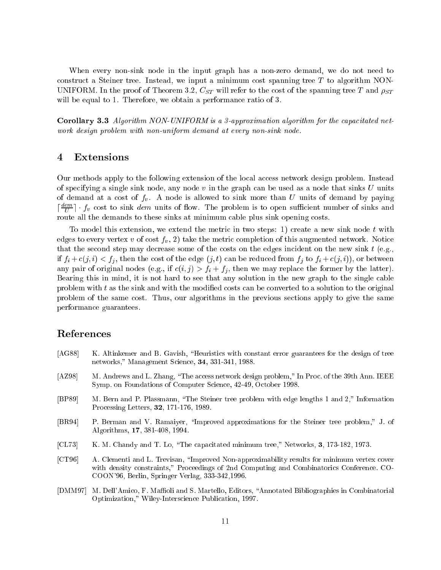When every non-sink node in the input graph has a non-zero demand, we do not need to construct a Steiner tree. Instead, we input a minimum cost spanning tree  $T$  to algorithm NON-UNIFORM. In the proof of Theorem 3.2,  $C_{ST}$  will refer to the cost of the spanning tree T and  $\rho_{ST}$ will be equal to 1. Therefore, we obtain a performance ratio of 3.

**Corollary 3.3** Algorithm NON-UNIFORM is a 3-approximation algorithm for the capacitated network design problem with non-uniform demand at every non-sink node.

#### <sup>4</sup> Extensions

Our methods apply to the following extension of the local access network design problem. Instead of specifying a single sink node, any node v in the graph can be used as a node that sinks U units of demand at a cost of  $f_v$ . A node is allowed to sink more than U units of demand by paying  $\lceil\frac{1}{U}\rceil + J_v$  cost to sink *dem* units of now. The problem is to open sumclent number of sinks and route all the demands to these sinks at minimum cable plus sink opening costs.

To model this extension, we extend the metric in two steps: 1) create a new sink node t with edges to every vertex v of cost  $f_v$ , 2) take the metric completion of this augmented network. Notice that the second step may decrease some of the costs on the edges incident on the new sink  $t$  (e.g., if  $f_i + c(j, i) < f_j$ , then the cost of the edge  $(j, t)$  can be reduced from  $f_j$  to  $f_i + c(j, i)$ , or between any pair of original nodes (e.g., if  $c(i, j) > f_i + f_j$ , then we may replace the former by the latter). Bearing this in mind, it is not hard to see that any solution in the new graph to the single cable problem with  $t$  as the sink and with the modified costs can be converted to a solution to the original problem of the same ost. Thus, our algorithms in the previous se
tions apply to give the same performan
e guarantees.

### Referen
es

- [AG88] K. Altinkemer and B. Gavish, "Heuristics with constant error guarantees for the design of tree networks," Management Science, 34, 331-341, 1988.
- [AZ98] M. Andrews and L. Zhang, "The access network design problem," In Proc. of the 39th Ann. IEEE Symp. on Foundations of Computer S
ien
e, 42-49, O
tober 1998.
- [BP89] M. Bern and P. Plassmann, "The Steiner tree problem with edge lengths 1 and 2," Information Pro
essing Letters, 32, 171-176, 1989.
- [BR94] P. Berman and V. Ramaiyer, "Improved approximations for the Steiner tree problem," J. of Algorithms, 17, 381-408, 1994.
- $\text{[CL73]}$  K. M. Chandy and T. Lo, "The capacitated minimum tree," Networks, 3, 173-182, 1973.
- [CT96] A. Clementi and L. Trevisan, "Improved Non-approximability results for minimum vertex cover with density constraints," Proceedings of 2nd Computing and Combinatorics Conference. CO-COON'96, Berlin, Springer Verlag, 333-342,1996.
- [DMM97] M. Dell'Amico, F. Maffioli and S. Martello, Editors, "Annotated Bibliographies in Combinatorial Optimization," Wiley-Inters
ien
e Publi
ation, 1997.